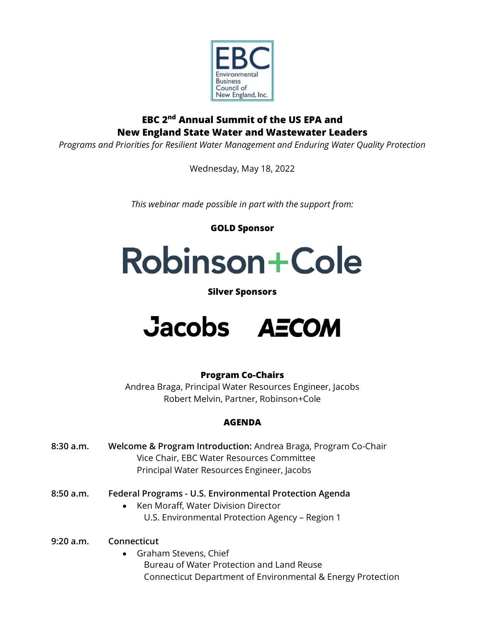

# **EBC 2 nd Annual Summit of the US EPA and New England State Water and Wastewater Leaders**

*Programs and Priorities for Resilient Water Management and Enduring Water Quality Protection*

Wednesday, May 18, 2022

*This webinar made possible in part with the support from:*

**GOLD Sponsor**

# Robinson+Cole

## **Silver Sponsors**



## **Program Co-Chairs**

Andrea Braga, Principal Water Resources Engineer, Jacobs Robert Melvin, Partner, Robinson+Cole

## **AGENDA**

- **8:30 a.m. Welcome & Program Introduction:** Andrea Braga, Program Co-Chair Vice Chair, EBC Water Resources Committee Principal Water Resources Engineer, Jacobs
- **8:50 a.m. Federal Programs - U.S. Environmental Protection Agenda**
	- Ken Moraff, Water Division Director U.S. Environmental Protection Agency – Region 1

**9:20 a.m. Connecticut**

• Graham Stevens, Chief Bureau of Water Protection and Land Reuse Connecticut Department of Environmental & Energy Protection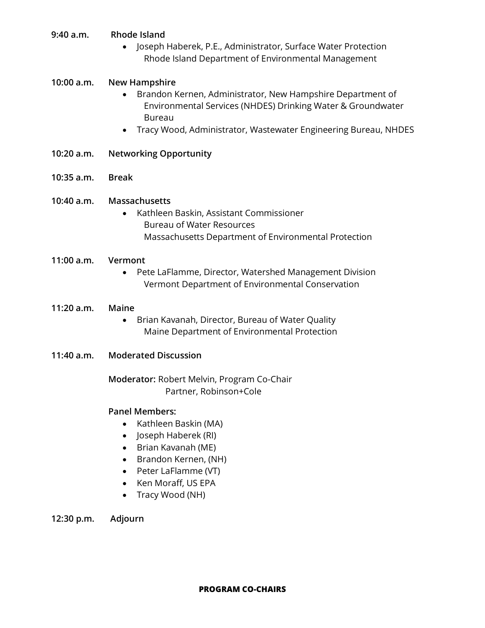- **9:40 a.m. Rhode Island**
	- Joseph Haberek, P.E., Administrator, Surface Water Protection Rhode Island Department of Environmental Management

#### **10:00 a.m. New Hampshire**

- Brandon Kernen, Administrator, New Hampshire Department of Environmental Services (NHDES) Drinking Water & Groundwater Bureau
- Tracy Wood, Administrator, Wastewater Engineering Bureau, NHDES
- **10:20 a.m. Networking Opportunity**
- **10:35 a.m. Break**

#### **10:40 a.m. Massachusetts**

- Kathleen Baskin, Assistant Commissioner Bureau of Water Resources Massachusetts Department of Environmental Protection
- **11:00 a.m. Vermont** 
	- Pete LaFlamme, Director, Watershed Management Division Vermont Department of Environmental Conservation

#### **11:20 a.m. Maine**

- Brian Kavanah, Director, Bureau of Water Quality Maine Department of Environmental Protection
- **11:40 a.m. Moderated Discussion**

**Moderator:** Robert Melvin, Program Co-Chair Partner, Robinson+Cole

### **Panel Members:**

- Kathleen Baskin (MA)
- Joseph Haberek (RI)
- Brian Kavanah (ME)
- Brandon Kernen, (NH)
- Peter LaFlamme (VT)
- Ken Moraff, US EPA
- Tracy Wood (NH)
- **12:30 p.m. Adjourn**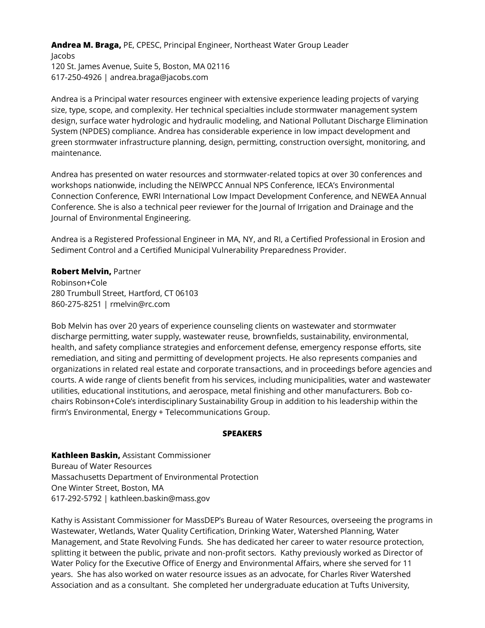**Andrea M. Braga,** PE, CPESC, Principal Engineer, Northeast Water Group Leader Jacobs 120 St. James Avenue, Suite 5, Boston, MA 02116 617-250-4926 | andrea.braga@jacobs.com

Andrea is a Principal water resources engineer with extensive experience leading projects of varying size, type, scope, and complexity. Her technical specialties include stormwater management system design, surface water hydrologic and hydraulic modeling, and National Pollutant Discharge Elimination System (NPDES) compliance. Andrea has considerable experience in low impact development and green stormwater infrastructure planning, design, permitting, construction oversight, monitoring, and maintenance.

Andrea has presented on water resources and stormwater-related topics at over 30 conferences and workshops nationwide, including the NEIWPCC Annual NPS Conference, IECA's Environmental Connection Conference, EWRI International Low Impact Development Conference, and NEWEA Annual Conference. She is also a technical peer reviewer for the Journal of Irrigation and Drainage and the Journal of Environmental Engineering.

Andrea is a Registered Professional Engineer in MA, NY, and RI, a Certified Professional in Erosion and Sediment Control and a Certified Municipal Vulnerability Preparedness Provider.

#### **Robert Melvin,** Partner

Robinson+Cole 280 Trumbull Street, Hartford, CT 06103 860-275-8251 | rmelvin@rc.com

Bob Melvin has over 20 years of experience counseling clients on wastewater and stormwater discharge permitting, water supply, wastewater reuse, brownfields, sustainability, environmental, health, and safety compliance strategies and enforcement defense, emergency response efforts, site remediation, and siting and permitting of development projects. He also represents companies and organizations in related real estate and corporate transactions, and in proceedings before agencies and courts. A wide range of clients benefit from his services, including municipalities, water and wastewater utilities, educational institutions, and aerospace, metal finishing and other manufacturers. Bob cochairs Robinson+Cole's interdisciplinary Sustainability Group in addition to his leadership within the firm's Environmental, Energy + Telecommunications Group.

#### **SPEAKERS**

**Kathleen Baskin,** Assistant Commissioner Bureau of Water Resources Massachusetts Department of Environmental Protection One Winter Street, Boston, MA 617-292-5792 | kathleen.baskin@mass.gov

Kathy is Assistant Commissioner for MassDEP's Bureau of Water Resources, overseeing the programs in Wastewater, Wetlands, Water Quality Certification, Drinking Water, Watershed Planning, Water Management, and State Revolving Funds. She has dedicated her career to water resource protection, splitting it between the public, private and non-profit sectors. Kathy previously worked as Director of Water Policy for the Executive Office of Energy and Environmental Affairs, where she served for 11 years. She has also worked on water resource issues as an advocate, for Charles River Watershed Association and as a consultant. She completed her undergraduate education at Tufts University,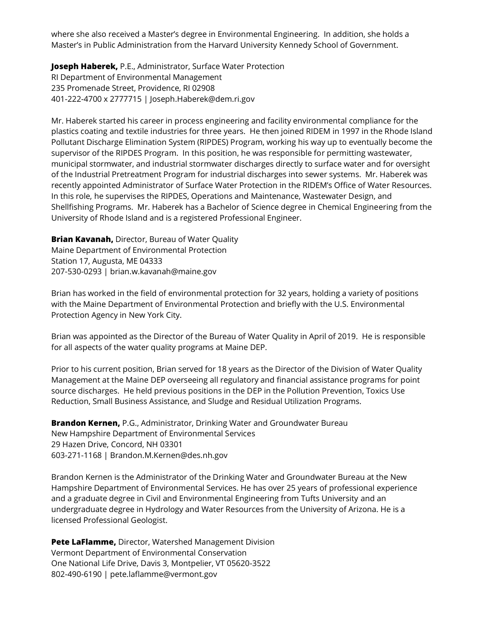where she also received a Master's degree in Environmental Engineering. In addition, she holds a Master's in Public Administration from the Harvard University Kennedy School of Government.

**Joseph Haberek,** P.E., Administrator, Surface Water Protection RI Department of Environmental Management 235 Promenade Street, Providence, RI 02908 401-222-4700 x 2777715 | Joseph.Haberek@dem.ri.gov

Mr. Haberek started his career in process engineering and facility environmental compliance for the plastics coating and textile industries for three years. He then joined RIDEM in 1997 in the Rhode Island Pollutant Discharge Elimination System (RIPDES) Program, working his way up to eventually become the supervisor of the RIPDES Program. In this position, he was responsible for permitting wastewater, municipal stormwater, and industrial stormwater discharges directly to surface water and for oversight of the Industrial Pretreatment Program for industrial discharges into sewer systems. Mr. Haberek was recently appointed Administrator of Surface Water Protection in the RIDEM's Office of Water Resources. In this role, he supervises the RIPDES, Operations and Maintenance, Wastewater Design, and Shellfishing Programs. Mr. Haberek has a Bachelor of Science degree in Chemical Engineering from the University of Rhode Island and is a registered Professional Engineer.

**Brian Kavanah,** Director, Bureau of Water Quality Maine Department of Environmental Protection Station 17, Augusta, ME 04333 207-530-0293 | brian.w.kavanah@maine.gov

Brian has worked in the field of environmental protection for 32 years, holding a variety of positions with the Maine Department of Environmental Protection and briefly with the U.S. Environmental Protection Agency in New York City.

Brian was appointed as the Director of the Bureau of Water Quality in April of 2019. He is responsible for all aspects of the water quality programs at Maine DEP.

Prior to his current position, Brian served for 18 years as the Director of the Division of Water Quality Management at the Maine DEP overseeing all regulatory and financial assistance programs for point source discharges. He held previous positions in the DEP in the Pollution Prevention, Toxics Use Reduction, Small Business Assistance, and Sludge and Residual Utilization Programs.

**Brandon Kernen,** P.G., Administrator, Drinking Water and Groundwater Bureau New Hampshire Department of Environmental Services 29 Hazen Drive, Concord, NH 03301 603-271-1168 | Brandon.M.Kernen@des.nh.gov

Brandon Kernen is the Administrator of the Drinking Water and Groundwater Bureau at the New Hampshire Department of Environmental Services. He has over 25 years of professional experience and a graduate degree in Civil and Environmental Engineering from Tufts University and an undergraduate degree in Hydrology and Water Resources from the University of Arizona. He is a licensed Professional Geologist.

**Pete LaFlamme,** Director, Watershed Management Division Vermont Department of Environmental Conservation One National Life Drive, Davis 3, Montpelier, VT 05620-3522 802-490-6190 | pete.laflamme@vermont.gov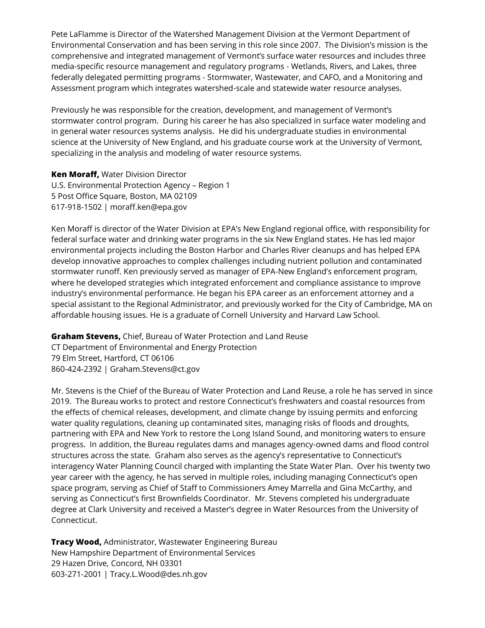Pete LaFlamme is Director of the Watershed Management Division at the Vermont Department of Environmental Conservation and has been serving in this role since 2007. The Division's mission is the comprehensive and integrated management of Vermont's surface water resources and includes three media-specific resource management and regulatory programs - Wetlands, Rivers, and Lakes, three federally delegated permitting programs - Stormwater, Wastewater, and CAFO, and a Monitoring and Assessment program which integrates watershed-scale and statewide water resource analyses.

Previously he was responsible for the creation, development, and management of Vermont's stormwater control program. During his career he has also specialized in surface water modeling and in general water resources systems analysis. He did his undergraduate studies in environmental science at the University of New England, and his graduate course work at the University of Vermont, specializing in the analysis and modeling of water resource systems.

**Ken Moraff,** Water Division Director U.S. Environmental Protection Agency – Region 1 5 Post Office Square, Boston, MA 02109 617-918-1502 | moraff.ken@epa.gov

Ken Moraff is director of the Water Division at EPA's New England regional office, with responsibility for federal surface water and drinking water programs in the six New England states. He has led major environmental projects including the Boston Harbor and Charles River cleanups and has helped EPA develop innovative approaches to complex challenges including nutrient pollution and contaminated stormwater runoff. Ken previously served as manager of EPA-New England's enforcement program, where he developed strategies which integrated enforcement and compliance assistance to improve industry's environmental performance. He began his EPA career as an enforcement attorney and a special assistant to the Regional Administrator, and previously worked for the City of Cambridge, MA on affordable housing issues. He is a graduate of Cornell University and Harvard Law School.

**Graham Stevens,** Chief, Bureau of Water Protection and Land Reuse

CT Department of Environmental and Energy Protection 79 Elm Street, Hartford, CT 06106 860-424-2392 | Graham.Stevens@ct.gov

Mr. Stevens is the Chief of the Bureau of Water Protection and Land Reuse, a role he has served in since 2019. The Bureau works to protect and restore Connecticut's freshwaters and coastal resources from the effects of chemical releases, development, and climate change by issuing permits and enforcing water quality regulations, cleaning up contaminated sites, managing risks of floods and droughts, partnering with EPA and New York to restore the Long Island Sound, and monitoring waters to ensure progress. In addition, the Bureau regulates dams and manages agency-owned dams and flood control structures across the state. Graham also serves as the agency's representative to Connecticut's interagency Water Planning Council charged with implanting the State Water Plan. Over his twenty two year career with the agency, he has served in multiple roles, including managing Connecticut's open space program, serving as Chief of Staff to Commissioners Amey Marrella and Gina McCarthy, and serving as Connecticut's first Brownfields Coordinator. Mr. Stevens completed his undergraduate degree at Clark University and received a Master's degree in Water Resources from the University of Connecticut.

**Tracy Wood,** Administrator, Wastewater Engineering Bureau New Hampshire Department of Environmental Services 29 Hazen Drive, Concord, NH 03301 603-271-2001 | Tracy.L.Wood@des.nh.gov